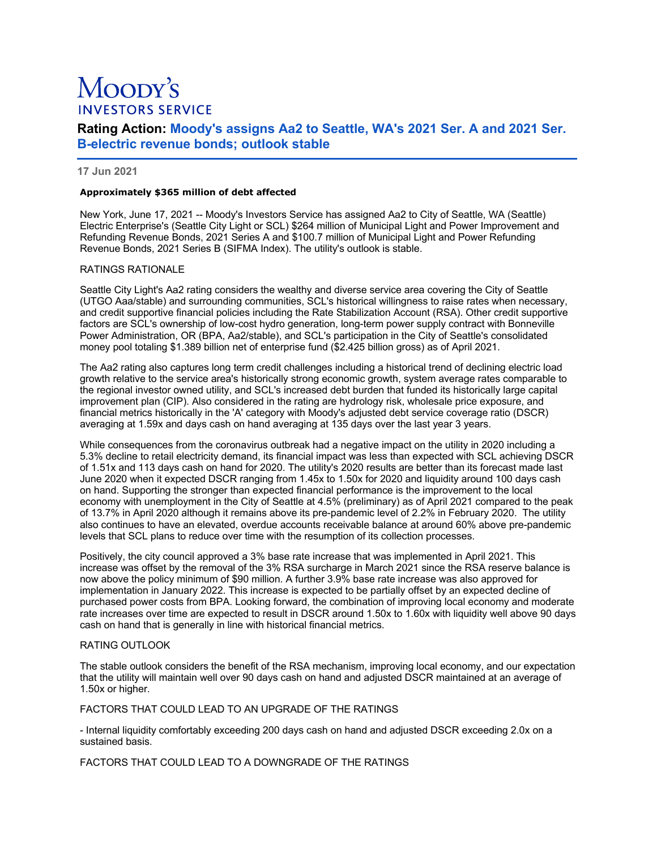# Moopy's **INVESTORS SERVICE**

# **Rating Action: Moody's assigns Aa2 to Seattle, WA's 2021 Ser. A and 2021 Ser. B-electric revenue bonds; outlook stable**

# **17 Jun 2021**

### **Approximately \$365 million of debt affected**

New York, June 17, 2021 -- Moody's Investors Service has assigned Aa2 to City of Seattle, WA (Seattle) Electric Enterprise's (Seattle City Light or SCL) \$264 million of Municipal Light and Power Improvement and Refunding Revenue Bonds, 2021 Series A and \$100.7 million of Municipal Light and Power Refunding Revenue Bonds, 2021 Series B (SIFMA Index). The utility's outlook is stable.

# RATINGS RATIONALE

Seattle City Light's Aa2 rating considers the wealthy and diverse service area covering the City of Seattle (UTGO Aaa/stable) and surrounding communities, SCL's historical willingness to raise rates when necessary, and credit supportive financial policies including the Rate Stabilization Account (RSA). Other credit supportive factors are SCL's ownership of low-cost hydro generation, long-term power supply contract with Bonneville Power Administration, OR (BPA, Aa2/stable), and SCL's participation in the City of Seattle's consolidated money pool totaling \$1.389 billion net of enterprise fund (\$2.425 billion gross) as of April 2021.

The Aa2 rating also captures long term credit challenges including a historical trend of declining electric load growth relative to the service area's historically strong economic growth, system average rates comparable to the regional investor owned utility, and SCL's increased debt burden that funded its historically large capital improvement plan (CIP). Also considered in the rating are hydrology risk, wholesale price exposure, and financial metrics historically in the 'A' category with Moody's adjusted debt service coverage ratio (DSCR) averaging at 1.59x and days cash on hand averaging at 135 days over the last year 3 years.

While consequences from the coronavirus outbreak had a negative impact on the utility in 2020 including a 5.3% decline to retail electricity demand, its financial impact was less than expected with SCL achieving DSCR of 1.51x and 113 days cash on hand for 2020. The utility's 2020 results are better than its forecast made last June 2020 when it expected DSCR ranging from 1.45x to 1.50x for 2020 and liquidity around 100 days cash on hand. Supporting the stronger than expected financial performance is the improvement to the local economy with unemployment in the City of Seattle at 4.5% (preliminary) as of April 2021 compared to the peak of 13.7% in April 2020 although it remains above its pre-pandemic level of 2.2% in February 2020. The utility also continues to have an elevated, overdue accounts receivable balance at around 60% above pre-pandemic levels that SCL plans to reduce over time with the resumption of its collection processes.

Positively, the city council approved a 3% base rate increase that was implemented in April 2021. This increase was offset by the removal of the 3% RSA surcharge in March 2021 since the RSA reserve balance is now above the policy minimum of \$90 million. A further 3.9% base rate increase was also approved for implementation in January 2022. This increase is expected to be partially offset by an expected decline of purchased power costs from BPA. Looking forward, the combination of improving local economy and moderate rate increases over time are expected to result in DSCR around 1.50x to 1.60x with liquidity well above 90 days cash on hand that is generally in line with historical financial metrics.

# RATING OUTLOOK

The stable outlook considers the benefit of the RSA mechanism, improving local economy, and our expectation that the utility will maintain well over 90 days cash on hand and adjusted DSCR maintained at an average of 1.50x or higher.

FACTORS THAT COULD LEAD TO AN UPGRADE OF THE RATINGS

- Internal liquidity comfortably exceeding 200 days cash on hand and adjusted DSCR exceeding 2.0x on a sustained basis.

FACTORS THAT COULD LEAD TO A DOWNGRADE OF THE RATINGS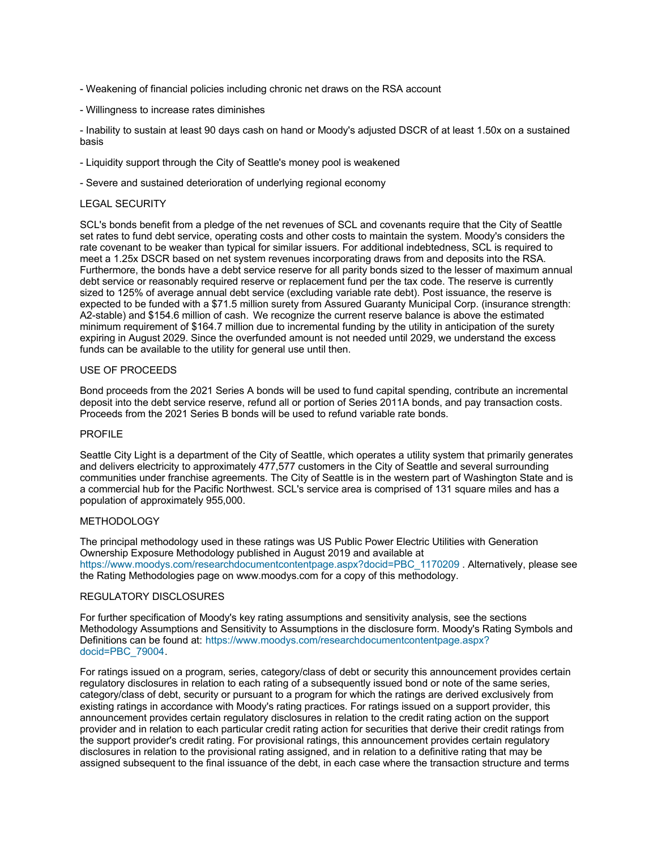- Weakening of financial policies including chronic net draws on the RSA account
- Willingness to increase rates diminishes

- Inability to sustain at least 90 days cash on hand or Moody's adjusted DSCR of at least 1.50x on a sustained basis

- Liquidity support through the City of Seattle's money pool is weakened
- Severe and sustained deterioration of underlying regional economy

## LEGAL SECURITY

SCL's bonds benefit from a pledge of the net revenues of SCL and covenants require that the City of Seattle set rates to fund debt service, operating costs and other costs to maintain the system. Moody's considers the rate covenant to be weaker than typical for similar issuers. For additional indebtedness, SCL is required to meet a 1.25x DSCR based on net system revenues incorporating draws from and deposits into the RSA. Furthermore, the bonds have a debt service reserve for all parity bonds sized to the lesser of maximum annual debt service or reasonably required reserve or replacement fund per the tax code. The reserve is currently sized to 125% of average annual debt service (excluding variable rate debt). Post issuance, the reserve is expected to be funded with a \$71.5 million surety from Assured Guaranty Municipal Corp. (insurance strength: A2-stable) and \$154.6 million of cash. We recognize the current reserve balance is above the estimated minimum requirement of \$164.7 million due to incremental funding by the utility in anticipation of the surety expiring in August 2029. Since the overfunded amount is not needed until 2029, we understand the excess funds can be available to the utility for general use until then.

#### USE OF PROCEEDS

Bond proceeds from the 2021 Series A bonds will be used to fund capital spending, contribute an incremental deposit into the debt service reserve, refund all or portion of Series 2011A bonds, and pay transaction costs. Proceeds from the 2021 Series B bonds will be used to refund variable rate bonds.

#### PROFILE

Seattle City Light is a department of the City of Seattle, which operates a utility system that primarily generates and delivers electricity to approximately 477,577 customers in the City of Seattle and several surrounding communities under franchise agreements. The City of Seattle is in the western part of Washington State and is a commercial hub for the Pacific Northwest. SCL's service area is comprised of 131 square miles and has a population of approximately 955,000.

#### **METHODOLOGY**

The principal methodology used in these ratings was US Public Power Electric Utilities with Generation Ownership Exposure Methodology published in August 2019 and available at [https://www.moodys.com/researchdocumentcontentpage.aspx?docid=PBC\\_1170209](https://www.moodys.com/researchdocumentcontentpage.aspx?docid=PBC_1170209) . Alternatively, please see the Rating Methodologies page on www.moodys.com for a copy of this methodology.

#### REGULATORY DISCLOSURES

For further specification of Moody's key rating assumptions and sensitivity analysis, see the sections Methodology Assumptions and Sensitivity to Assumptions in the disclosure form. Moody's Rating Symbols and [Definitions can be found at: https://www.moodys.com/researchdocumentcontentpage.aspx?](https://www.moodys.com/researchdocumentcontentpage.aspx?docid=PBC_79004) docid=PBC\_79004.

For ratings issued on a program, series, category/class of debt or security this announcement provides certain regulatory disclosures in relation to each rating of a subsequently issued bond or note of the same series, category/class of debt, security or pursuant to a program for which the ratings are derived exclusively from existing ratings in accordance with Moody's rating practices. For ratings issued on a support provider, this announcement provides certain regulatory disclosures in relation to the credit rating action on the support provider and in relation to each particular credit rating action for securities that derive their credit ratings from the support provider's credit rating. For provisional ratings, this announcement provides certain regulatory disclosures in relation to the provisional rating assigned, and in relation to a definitive rating that may be assigned subsequent to the final issuance of the debt, in each case where the transaction structure and terms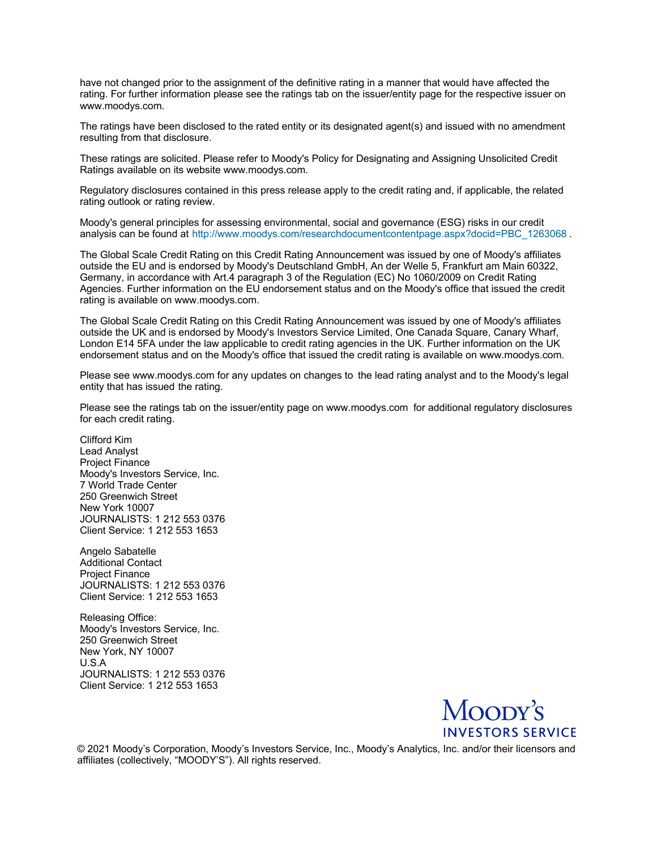have not changed prior to the assignment of the definitive rating in a manner that would have affected the rating. For further information please see the ratings tab on the issuer/entity page for the respective issuer on www.moodys.com.

The ratings have been disclosed to the rated entity or its designated agent(s) and issued with no amendment resulting from that disclosure.

These ratings are solicited. Please refer to Moody's Policy for Designating and Assigning Unsolicited Credit Ratings available on its website www.moodys.com.

Regulatory disclosures contained in this press release apply to the credit rating and, if applicable, the related rating outlook or rating review.

Moody's general principles for assessing environmental, social and governance (ESG) risks in our credit analysis can be found at [http://www.moodys.com/researchdocumentcontentpage.aspx?docid=PBC\\_1263068](http://www.moodys.com/researchdocumentcontentpage.aspx?docid=PBC_1263068)

The Global Scale Credit Rating on this Credit Rating Announcement was issued by one of Moody's affiliates outside the EU and is endorsed by Moody's Deutschland GmbH, An der Welle 5, Frankfurt am Main 60322, Germany, in accordance with Art.4 paragraph 3 of the Regulation (EC) No 1060/2009 on Credit Rating Agencies. Further information on the EU endorsement status and on the Moody's office that issued the credit rating is available on www.moodys.com.

The Global Scale Credit Rating on this Credit Rating Announcement was issued by one of Moody's affiliates outside the UK and is endorsed by Moody's Investors Service Limited, One Canada Square, Canary Wharf, London E14 5FA under the law applicable to credit rating agencies in the UK. Further information on the UK endorsement status and on the Moody's office that issued the credit rating is available on www.moodys.com.

Please see www.moodys.com for any updates on changes to the lead rating analyst and to the Moody's legal entity that has issued the rating.

Please see the ratings tab on the issuer/entity page on www.moodys.com for additional regulatory disclosures for each credit rating.

Clifford Kim Lead Analyst Project Finance Moody's Investors Service, Inc. 7 World Trade Center 250 Greenwich Street New York 10007 JOURNALISTS: 1 212 553 0376 Client Service: 1 212 553 1653

Angelo Sabatelle Additional Contact Project Finance JOURNALISTS: 1 212 553 0376 Client Service: 1 212 553 1653

Releasing Office: Moody's Investors Service, Inc. 250 Greenwich Street New York, NY 10007 U.S.A JOURNALISTS: 1 212 553 0376 Client Service: 1 212 553 1653



© 2021 Moody's Corporation, Moody's Investors Service, Inc., Moody's Analytics, Inc. and/or their licensors and affiliates (collectively, "MOODY'S"). All rights reserved.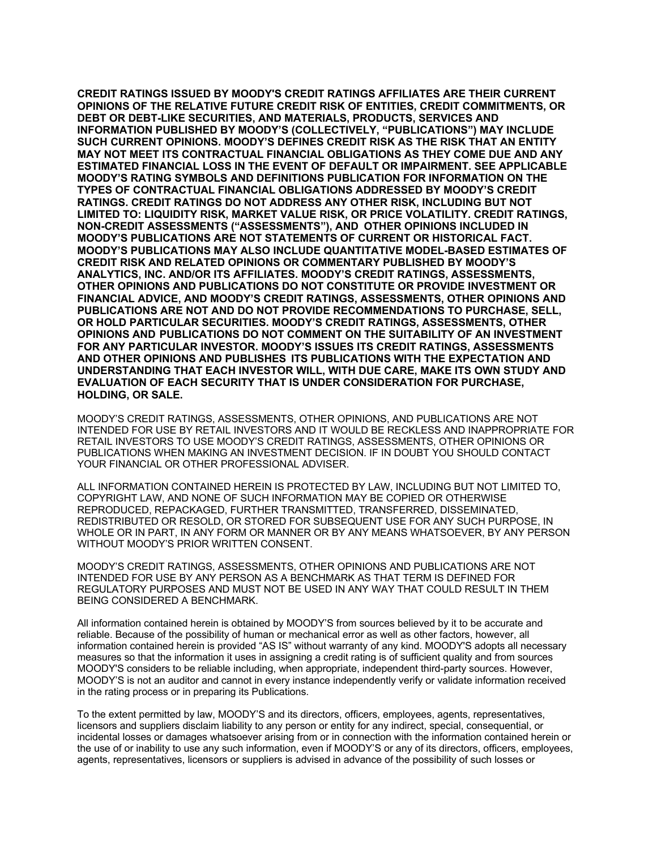**CREDIT RATINGS ISSUED BY MOODY'S CREDIT RATINGS AFFILIATES ARE THEIR CURRENT OPINIONS OF THE RELATIVE FUTURE CREDIT RISK OF ENTITIES, CREDIT COMMITMENTS, OR DEBT OR DEBT-LIKE SECURITIES, AND MATERIALS, PRODUCTS, SERVICES AND INFORMATION PUBLISHED BY MOODY'S (COLLECTIVELY, "PUBLICATIONS") MAY INCLUDE SUCH CURRENT OPINIONS. MOODY'S DEFINES CREDIT RISK AS THE RISK THAT AN ENTITY MAY NOT MEET ITS CONTRACTUAL FINANCIAL OBLIGATIONS AS THEY COME DUE AND ANY ESTIMATED FINANCIAL LOSS IN THE EVENT OF DEFAULT OR IMPAIRMENT. SEE APPLICABLE MOODY'S RATING SYMBOLS AND DEFINITIONS PUBLICATION FOR INFORMATION ON THE TYPES OF CONTRACTUAL FINANCIAL OBLIGATIONS ADDRESSED BY MOODY'S CREDIT RATINGS. CREDIT RATINGS DO NOT ADDRESS ANY OTHER RISK, INCLUDING BUT NOT LIMITED TO: LIQUIDITY RISK, MARKET VALUE RISK, OR PRICE VOLATILITY. CREDIT RATINGS, NON-CREDIT ASSESSMENTS ("ASSESSMENTS"), AND OTHER OPINIONS INCLUDED IN MOODY'S PUBLICATIONS ARE NOT STATEMENTS OF CURRENT OR HISTORICAL FACT. MOODY'S PUBLICATIONS MAY ALSO INCLUDE QUANTITATIVE MODEL-BASED ESTIMATES OF CREDIT RISK AND RELATED OPINIONS OR COMMENTARY PUBLISHED BY MOODY'S ANALYTICS, INC. AND/OR ITS AFFILIATES. MOODY'S CREDIT RATINGS, ASSESSMENTS, OTHER OPINIONS AND PUBLICATIONS DO NOT CONSTITUTE OR PROVIDE INVESTMENT OR FINANCIAL ADVICE, AND MOODY'S CREDIT RATINGS, ASSESSMENTS, OTHER OPINIONS AND PUBLICATIONS ARE NOT AND DO NOT PROVIDE RECOMMENDATIONS TO PURCHASE, SELL, OR HOLD PARTICULAR SECURITIES. MOODY'S CREDIT RATINGS, ASSESSMENTS, OTHER OPINIONS AND PUBLICATIONS DO NOT COMMENT ON THE SUITABILITY OF AN INVESTMENT FOR ANY PARTICULAR INVESTOR. MOODY'S ISSUES ITS CREDIT RATINGS, ASSESSMENTS AND OTHER OPINIONS AND PUBLISHES ITS PUBLICATIONS WITH THE EXPECTATION AND UNDERSTANDING THAT EACH INVESTOR WILL, WITH DUE CARE, MAKE ITS OWN STUDY AND EVALUATION OF EACH SECURITY THAT IS UNDER CONSIDERATION FOR PURCHASE, HOLDING, OR SALE.** 

MOODY'S CREDIT RATINGS, ASSESSMENTS, OTHER OPINIONS, AND PUBLICATIONS ARE NOT INTENDED FOR USE BY RETAIL INVESTORS AND IT WOULD BE RECKLESS AND INAPPROPRIATE FOR RETAIL INVESTORS TO USE MOODY'S CREDIT RATINGS, ASSESSMENTS, OTHER OPINIONS OR PUBLICATIONS WHEN MAKING AN INVESTMENT DECISION. IF IN DOUBT YOU SHOULD CONTACT YOUR FINANCIAL OR OTHER PROFESSIONAL ADVISER.

ALL INFORMATION CONTAINED HEREIN IS PROTECTED BY LAW, INCLUDING BUT NOT LIMITED TO, COPYRIGHT LAW, AND NONE OF SUCH INFORMATION MAY BE COPIED OR OTHERWISE REPRODUCED, REPACKAGED, FURTHER TRANSMITTED, TRANSFERRED, DISSEMINATED, REDISTRIBUTED OR RESOLD, OR STORED FOR SUBSEQUENT USE FOR ANY SUCH PURPOSE, IN WHOLE OR IN PART, IN ANY FORM OR MANNER OR BY ANY MEANS WHATSOEVER, BY ANY PERSON WITHOUT MOODY'S PRIOR WRITTEN CONSENT.

MOODY'S CREDIT RATINGS, ASSESSMENTS, OTHER OPINIONS AND PUBLICATIONS ARE NOT INTENDED FOR USE BY ANY PERSON AS A BENCHMARK AS THAT TERM IS DEFINED FOR REGULATORY PURPOSES AND MUST NOT BE USED IN ANY WAY THAT COULD RESULT IN THEM BEING CONSIDERED A BENCHMARK.

All information contained herein is obtained by MOODY'S from sources believed by it to be accurate and reliable. Because of the possibility of human or mechanical error as well as other factors, however, all information contained herein is provided "AS IS" without warranty of any kind. MOODY'S adopts all necessary measures so that the information it uses in assigning a credit rating is of sufficient quality and from sources MOODY'S considers to be reliable including, when appropriate, independent third-party sources. However, MOODY'S is not an auditor and cannot in every instance independently verify or validate information received in the rating process or in preparing its Publications.

To the extent permitted by law, MOODY'S and its directors, officers, employees, agents, representatives, licensors and suppliers disclaim liability to any person or entity for any indirect, special, consequential, or incidental losses or damages whatsoever arising from or in connection with the information contained herein or the use of or inability to use any such information, even if MOODY'S or any of its directors, officers, employees, agents, representatives, licensors or suppliers is advised in advance of the possibility of such losses or